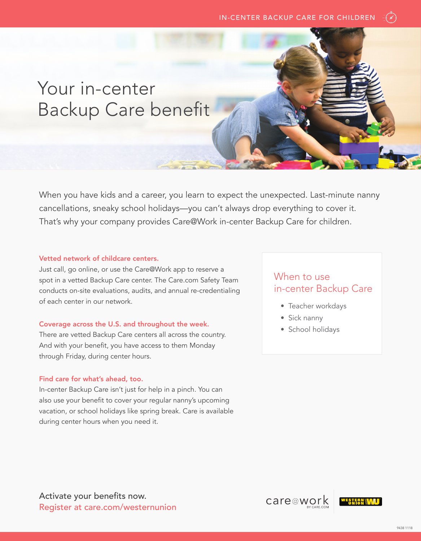## Your in-center Backup Care benefit

When you have kids and a career, you learn to expect the unexpected. Last-minute nanny cancellations, sneaky school holidays—you can't always drop everything to cover it. That's why your company provides Care@Work in-center Backup Care for children.

#### Vetted network of childcare centers.

Just call, go online, or use the Care@Work app to reserve a spot in a vetted Backup Care center. The Care.com Safety Team conducts on-site evaluations, audits, and annual re-credentialing of each center in our network.

#### Coverage across the U.S. and throughout the week.

There are vetted Backup Care centers all across the country. And with your benefit, you have access to them Monday through Friday, during center hours.

#### Find care for what's ahead, too.

In-center Backup Care isn't just for help in a pinch. You can also use your benefit to cover your regular nanny's upcoming vacation, or school holidays like spring break. Care is available during center hours when you need it.

### When to use in-center Backup Care

- Teacher workdays
- Sick nanny
- School holidays